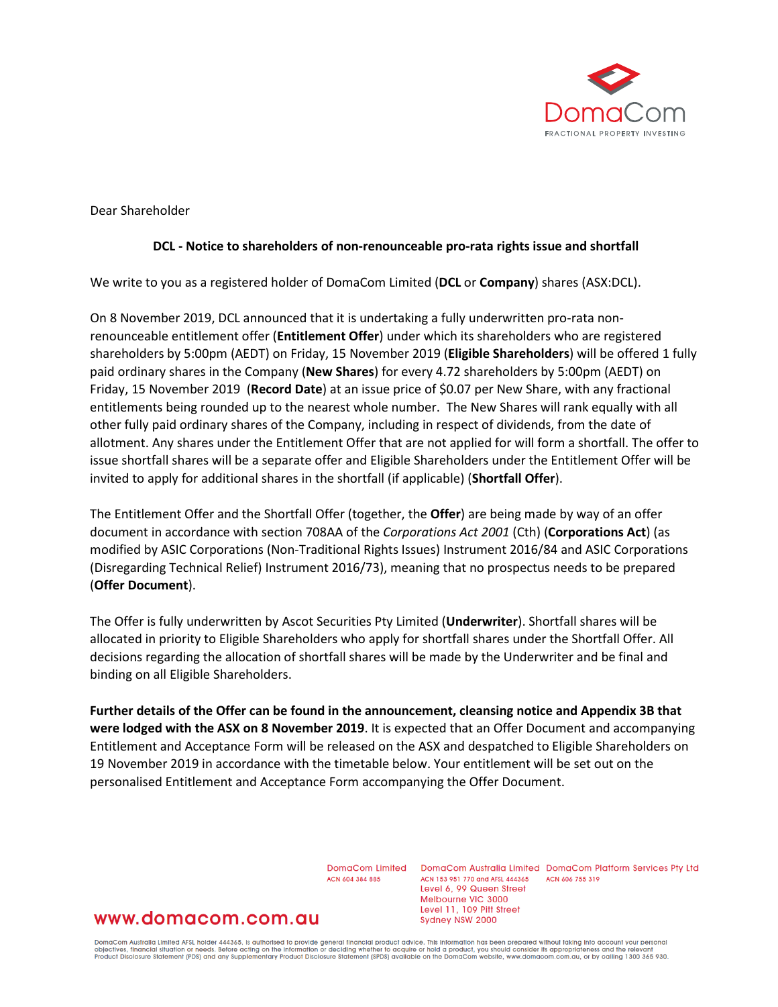

Dear Shareholder

#### **DCL - Notice to shareholders of non-renounceable pro-rata rights issue and shortfall**

We write to you as a registered holder of DomaCom Limited (**DCL** or **Company**) shares (ASX:DCL).

On 8 November 2019, DCL announced that it is undertaking a fully underwritten pro-rata nonrenounceable entitlement offer (**Entitlement Offer**) under which its shareholders who are registered shareholders by 5:00pm (AEDT) on Friday, 15 November 2019 (**Eligible Shareholders**) will be offered 1 fully paid ordinary shares in the Company (**New Shares**) for every 4.72 shareholders by 5:00pm (AEDT) on Friday, 15 November 2019 (**Record Date**) at an issue price of \$0.07 per New Share, with any fractional entitlements being rounded up to the nearest whole number. The New Shares will rank equally with all other fully paid ordinary shares of the Company, including in respect of dividends, from the date of allotment. Any shares under the Entitlement Offer that are not applied for will form a shortfall. The offer to issue shortfall shares will be a separate offer and Eligible Shareholders under the Entitlement Offer will be invited to apply for additional shares in the shortfall (if applicable) (**Shortfall Offer**).

The Entitlement Offer and the Shortfall Offer (together, the **Offer**) are being made by way of an offer document in accordance with section 708AA of the *Corporations Act 2001* (Cth) (**Corporations Act**) (as modified by ASIC Corporations (Non-Traditional Rights Issues) Instrument 2016/84 and ASIC Corporations (Disregarding Technical Relief) Instrument 2016/73), meaning that no prospectus needs to be prepared (**Offer Document**).

The Offer is fully underwritten by Ascot Securities Pty Limited (**Underwriter**). Shortfall shares will be allocated in priority to Eligible Shareholders who apply for shortfall shares under the Shortfall Offer. All decisions regarding the allocation of shortfall shares will be made by the Underwriter and be final and binding on all Eligible Shareholders.

**Further details of the Offer can be found in the announcement, cleansing notice and Appendix 3B that were lodged with the ASX on 8 November 2019**. It is expected that an Offer Document and accompanying Entitlement and Acceptance Form will be released on the ASX and despatched to Eligible Shareholders on 19 November 2019 in accordance with the timetable below. Your entitlement will be set out on the personalised Entitlement and Acceptance Form accompanying the Offer Document.

ACN 604 384 885

DomaCom Limited DomaCom Australia Limited DomaCom Platform Services Pty Ltd ACN 153 951 770 and AFSL 444365 ACN 606 755 319 Level 6, 99 Queen Street Melbourne VIC 3000 Level 11, 109 Pitt Street Sydney NSW 2000

# www.domacom.com.au

DomaCom Australia Limited AFSL holder 444365, is authorised to provide general financial product advice. This information has been prepared without taking into account your personal<br>objectives, financial situation or needs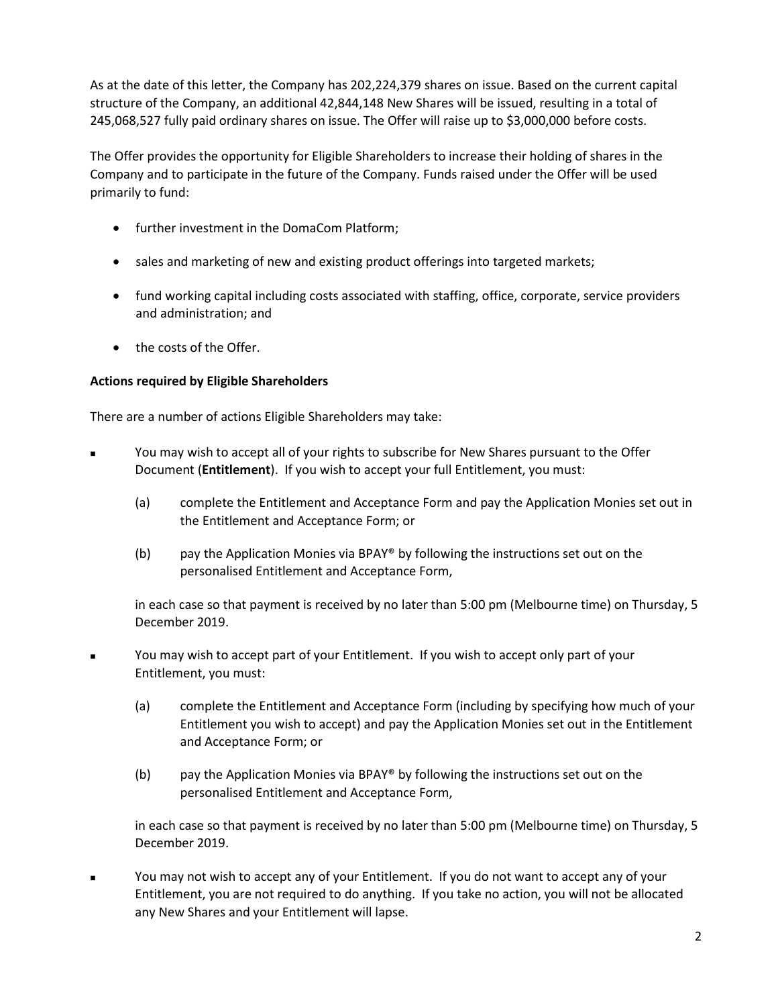As at the date of this letter, the Company has 202,224,379 shares on issue. Based on the current capital structure of the Company, an additional 42,844,148 New Shares will be issued, resulting in a total of 245,068,527 fully paid ordinary shares on issue. The Offer will raise up to \$3,000,000 before costs.

The Offer provides the opportunity for Eligible Shareholders to increase their holding of shares in the Company and to participate in the future of the Company. Funds raised under the Offer will be used primarily to fund:

- further investment in the DomaCom Platform;
- sales and marketing of new and existing product offerings into targeted markets;
- fund working capital including costs associated with staffing, office, corporate, service providers and administration; and
- the costs of the Offer.

## **Actions required by Eligible Shareholders**

There are a number of actions Eligible Shareholders may take:

- You may wish to accept all of your rights to subscribe for New Shares pursuant to the Offer Document (**Entitlement**). If you wish to accept your full Entitlement, you must:
	- (a) complete the Entitlement and Acceptance Form and pay the Application Monies set out in the Entitlement and Acceptance Form; or
	- (b) pay the Application Monies via BPAY® by following the instructions set out on the personalised Entitlement and Acceptance Form,

in each case so that payment is received by no later than 5:00 pm (Melbourne time) on Thursday, 5 December 2019.

- You may wish to accept part of your Entitlement. If you wish to accept only part of your Entitlement, you must:
	- (a) complete the Entitlement and Acceptance Form (including by specifying how much of your Entitlement you wish to accept) and pay the Application Monies set out in the Entitlement and Acceptance Form; or
	- (b) pay the Application Monies via BPAY® by following the instructions set out on the personalised Entitlement and Acceptance Form,

in each case so that payment is received by no later than 5:00 pm (Melbourne time) on Thursday, 5 December 2019.

 You may not wish to accept any of your Entitlement. If you do not want to accept any of your Entitlement, you are not required to do anything. If you take no action, you will not be allocated any New Shares and your Entitlement will lapse.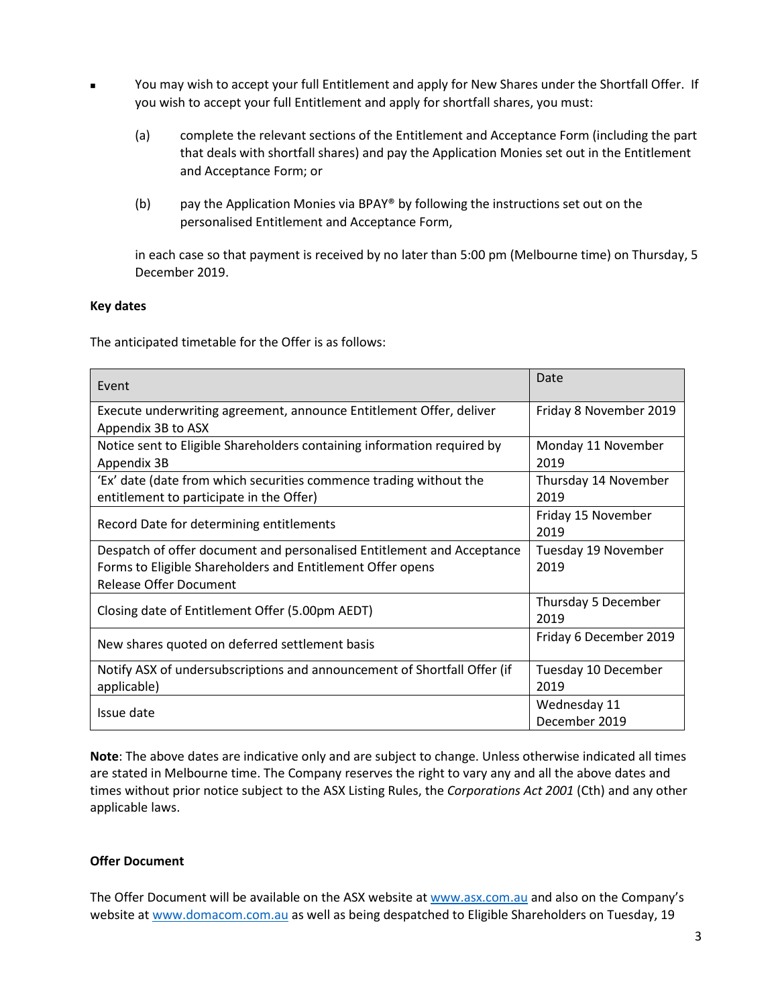- You may wish to accept your full Entitlement and apply for New Shares under the Shortfall Offer. If you wish to accept your full Entitlement and apply for shortfall shares, you must:
	- (a) complete the relevant sections of the Entitlement and Acceptance Form (including the part that deals with shortfall shares) and pay the Application Monies set out in the Entitlement and Acceptance Form; or
	- (b) pay the Application Monies via BPAY® by following the instructions set out on the personalised Entitlement and Acceptance Form,

in each case so that payment is received by no later than 5:00 pm (Melbourne time) on Thursday, 5 December 2019.

### **Key dates**

The anticipated timetable for the Offer is as follows:

| Event                                                                    | Date                   |
|--------------------------------------------------------------------------|------------------------|
| Execute underwriting agreement, announce Entitlement Offer, deliver      | Friday 8 November 2019 |
| Appendix 3B to ASX                                                       |                        |
| Notice sent to Eligible Shareholders containing information required by  | Monday 11 November     |
| Appendix 3B                                                              | 2019                   |
| 'Ex' date (date from which securities commence trading without the       | Thursday 14 November   |
| entitlement to participate in the Offer)                                 | 2019                   |
| Record Date for determining entitlements                                 | Friday 15 November     |
|                                                                          | 2019                   |
| Despatch of offer document and personalised Entitlement and Acceptance   | Tuesday 19 November    |
| Forms to Eligible Shareholders and Entitlement Offer opens               | 2019                   |
| <b>Release Offer Document</b>                                            |                        |
| Closing date of Entitlement Offer (5.00pm AEDT)                          | Thursday 5 December    |
|                                                                          | 2019                   |
| New shares quoted on deferred settlement basis                           | Friday 6 December 2019 |
| Notify ASX of undersubscriptions and announcement of Shortfall Offer (if | Tuesday 10 December    |
| applicable)                                                              | 2019                   |
| Issue date                                                               | Wednesday 11           |
|                                                                          | December 2019          |

**Note**: The above dates are indicative only and are subject to change. Unless otherwise indicated all times are stated in Melbourne time. The Company reserves the right to vary any and all the above dates and times without prior notice subject to the ASX Listing Rules, the *Corporations Act 2001* (Cth) and any other applicable laws.

## **Offer Document**

The Offer Document will be available on the ASX website at [www.asx.com.au](http://www.asx.com.au/) and also on the Company's website at [www.domacom.com.au](http://www.domacom.com.au/) as well as being despatched to Eligible Shareholders on Tuesday, 19